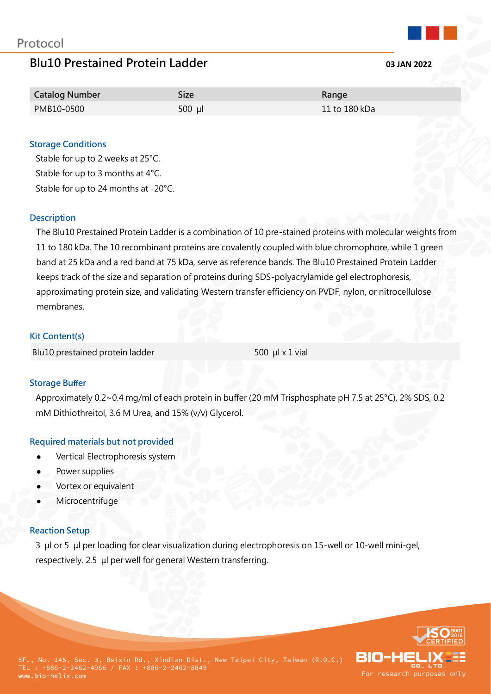# **Blu10 Prestained Protein Ladder 03 JAN 2022**

| <b>Catalog Number</b> | Size      | Range         |
|-----------------------|-----------|---------------|
| PMB10-0500            | $500 \mu$ | 11 to 180 kDa |

# **Storage Conditions**

Stable for up to 2 weeks at 25°C. Stable for up to 3 months at 4°C. Stable for up to 24 months at -20°C.

#### **Description**

The Blu10 Prestained Protein Ladder is a combination of 10 pre-stained proteins with molecular weights from 11 to 180 kDa. The 10 recombinant proteins are covalently coupled with blue chromophore, while 1 green band at 25 kDa and a red band at 75 kDa, serve as reference bands. The Blu10 Prestained Protein Ladder keeps track of the size and separation of proteins during SDS-polyacrylamide gel electrophoresis, approximating protein size, and validating Western transfer efficiency on PVDF, nylon, or nitrocellulose membranes.

#### **Kit Content(s)**

Blu10 prestained protein ladder 500 μl x 1 vial

# **Storage Buffer**

Approximately 0.2~0.4 mg/ml of each protein in buffer (20 mM Trisphosphate pH 7.5 at 25°C), 2% SDS, 0.2 mM Dithiothreitol, 3.6 M Urea, and 15% (v/v) Glycerol.

# **Required materials but not provided**

- Vertical Electrophoresis system
- Power supplies
- Vortex or equivalent
- **Microcentrifuge**

# **Reaction Setup**

3 μl or 5 μl per loading for clear visualization during electrophoresis on 15-well or 10-well mini-gel, respectively. 2.5 μl per well for general Western transferring.